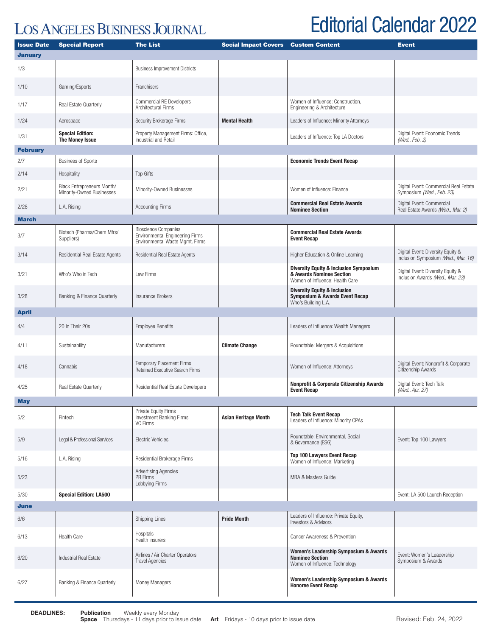## **LOS ANGELES BUSINESS JOURNAL**

## Editorial Calendar 2022

| <b>Issue Date</b> | <b>Special Report</b>                                   | <b>The List</b>                                                                                          | <b>Social Impact Covers</b> | <b>Custom Content</b>                                                                                            | <b>Event</b>                                                             |
|-------------------|---------------------------------------------------------|----------------------------------------------------------------------------------------------------------|-----------------------------|------------------------------------------------------------------------------------------------------------------|--------------------------------------------------------------------------|
| <b>January</b>    |                                                         |                                                                                                          |                             |                                                                                                                  |                                                                          |
| 1/3               |                                                         | <b>Business Improvement Districts</b>                                                                    |                             |                                                                                                                  |                                                                          |
| 1/10              | Gaming/Esports                                          | <b>Franchisers</b>                                                                                       |                             |                                                                                                                  |                                                                          |
| 1/17              | Real Estate Quarterly                                   | <b>Commercial RE Developers</b><br>Architectural Firms                                                   |                             | Women of Influence: Construction,<br>Engineering & Architecture                                                  |                                                                          |
| 1/24              | Aerospace                                               | Security Brokerage Firms                                                                                 | <b>Mental Health</b>        | Leaders of Influence: Minority Attorneys                                                                         |                                                                          |
| 1/31              | <b>Special Edition:</b><br>The Money Issue              | Property Management Firms: Office,<br>Industrial and Retail                                              |                             | Leaders of Influence: Top LA Doctors                                                                             | Digital Event: Economic Trends<br>(Wed., Feb. 2)                         |
| <b>February</b>   |                                                         |                                                                                                          |                             |                                                                                                                  |                                                                          |
| 2/7               | <b>Business of Sports</b>                               |                                                                                                          |                             | <b>Economic Trends Event Recap</b>                                                                               |                                                                          |
| 2/14              | Hospitality                                             | <b>Top Gifts</b>                                                                                         |                             |                                                                                                                  |                                                                          |
| 2/21              | Black Entrepreneurs Month/<br>Minority-Owned Businesses | Minority-Owned Businesses                                                                                |                             | Women of Influence: Finance                                                                                      | Digital Event: Commercial Real Estate<br>Symposium (Wed., Feb. 23)       |
| 2/28              | L.A. Rising                                             | <b>Accounting Firms</b>                                                                                  |                             | <b>Commercial Real Estate Awards</b><br><b>Nominee Section</b>                                                   | Digital Event: Commercial<br>Real Estate Awards (Wed., Mar. 2)           |
| <b>March</b>      |                                                         |                                                                                                          |                             |                                                                                                                  |                                                                          |
| 3/7               | Biotech (Pharma/Chem Mfrs/<br>Suppliers)                | <b>Bioscience Companies</b><br><b>Environmental Engineering Firms</b><br>Environmental Waste Mgmt. Firms |                             | <b>Commercial Real Estate Awards</b><br><b>Event Recap</b>                                                       |                                                                          |
| 3/14              | Residential Real Estate Agents                          | Residential Real Estate Agents                                                                           |                             | Higher Education & Online Learning                                                                               | Digital Event: Diversity Equity &<br>Inclusion Symposium (Wed., Mar. 16) |
| 3/21              | Who's Who in Tech                                       | Law Firms                                                                                                |                             | <b>Diversity Equity &amp; Inclusion Symposium</b><br>& Awards Nominee Section<br>Women of Influence: Health Care | Digital Event: Diversity Equity &<br>Inclusion Awards (Wed., Mar. 23)    |
| 3/28              | Banking & Finance Quarterly                             | Insurance Brokers                                                                                        |                             | <b>Diversity Equity &amp; Inclusion</b><br><b>Symposium &amp; Awards Event Recap</b><br>Who's Building L.A.      |                                                                          |
| <b>April</b>      |                                                         |                                                                                                          |                             |                                                                                                                  |                                                                          |
| 4/4               | 20 in Their 20s                                         | <b>Employee Benefits</b>                                                                                 |                             | Leaders of Influence: Wealth Managers                                                                            |                                                                          |
| 4/11              | Sustainability                                          | Manufacturers                                                                                            | <b>Climate Change</b>       | Roundtable: Mergers & Acquisitions                                                                               |                                                                          |
| 4/18              | Cannabis                                                | <b>Temporary Placement Firms</b><br><b>Retained Executive Search Firms</b>                               |                             | Women of Influence: Attorneys                                                                                    | Digital Event: Nonprofit & Corporate<br>Citizenship Awards               |
| 4/25              | Real Estate Quarterly                                   | Residential Real Estate Developers                                                                       |                             | <b>Nonprofit &amp; Corporate Citizenship Awards</b><br><b>Event Recap</b>                                        | Digital Event: Tech Talk<br>(Wed., Apr. 27)                              |
| <b>May</b>        |                                                         |                                                                                                          |                             |                                                                                                                  |                                                                          |
| 5/2               | Fintech                                                 | Private Equity Firms<br><b>Investment Banking Firms</b><br>VC Firms                                      | <b>Asian Heritage Month</b> | <b>Tech Talk Event Recap</b><br>Leaders of Influence: Minority CPAs                                              |                                                                          |
| 5/9               | Legal & Professional Services                           | <b>Electric Vehicles</b>                                                                                 |                             | Roundtable: Environmental, Social<br>& Governance (ESG)                                                          | Event: Top 100 Lawyers                                                   |
| 5/16              | L.A. Rising                                             | Residential Brokerage Firms                                                                              |                             | <b>Top 100 Lawyers Event Recap</b><br>Women of Influence: Marketing                                              |                                                                          |
| 5/23              |                                                         | <b>Advertising Agencies</b><br>PR Firms<br>Lobbying Firms                                                |                             | MBA & Masters Guide                                                                                              |                                                                          |
| 5/30              | <b>Special Edition: LA500</b>                           |                                                                                                          |                             |                                                                                                                  | Event: LA 500 Launch Reception                                           |
| <b>June</b>       |                                                         |                                                                                                          |                             |                                                                                                                  |                                                                          |
| 6/6               |                                                         | <b>Shipping Lines</b>                                                                                    | <b>Pride Month</b>          | Leaders of Influence: Private Equity,<br><b>Investors &amp; Advisors</b>                                         |                                                                          |
| 6/13              | <b>Health Care</b>                                      | Hospitals<br>Health Insurers                                                                             |                             | Cancer Awareness & Prevention                                                                                    |                                                                          |
| 6/20              | Industrial Real Estate                                  | Airlines / Air Charter Operators<br><b>Travel Agencies</b>                                               |                             | Women's Leadership Symposium & Awards<br><b>Nominee Section</b><br>Women of Influence: Technology                | Event: Women's Leadership<br>Symposium & Awards                          |
| 6/27              | Banking & Finance Quarterly                             | Money Managers                                                                                           |                             | Women's Leadership Symposium & Awards<br><b>Honoree Event Recap</b>                                              |                                                                          |